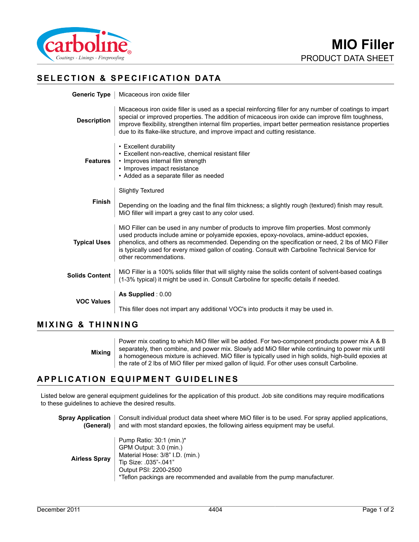

# **SELECTION & SPECIFICATION DATA**

|                       | Generic Type   Micaceous iron oxide filler                                                                                                                                                                                                                                                                                                                                                                                |  |
|-----------------------|---------------------------------------------------------------------------------------------------------------------------------------------------------------------------------------------------------------------------------------------------------------------------------------------------------------------------------------------------------------------------------------------------------------------------|--|
| <b>Description</b>    | Micaceous iron oxide filler is used as a special reinforcing filler for any number of coatings to impart<br>special or improved properties. The addition of micaceous iron oxide can improve film toughness,<br>improve flexibility, strengthen internal film properties, impart better permeation resistance properties<br>due to its flake-like structure, and improve impact and cutting resistance.                   |  |
| <b>Features</b>       | • Excellent durability<br>• Excellent non-reactive, chemical resistant filler<br>• Improves internal film strength<br>• Improves impact resistance<br>• Added as a separate filler as needed                                                                                                                                                                                                                              |  |
| <b>Finish</b>         | <b>Slightly Textured</b><br>Depending on the loading and the final film thickness; a slightly rough (textured) finish may result.<br>MiO filler will impart a grey cast to any color used.                                                                                                                                                                                                                                |  |
| <b>Typical Uses</b>   | MiO Filler can be used in any number of products to improve film properties. Most commonly<br>used products include amine or polyamide epoxies, epoxy-novolacs, amine-adduct epoxies,<br>phenolics, and others as recommended. Depending on the specification or need, 2 lbs of MiO Filler<br>is typically used for every mixed gallon of coating. Consult with Carboline Technical Service for<br>other recommendations. |  |
| <b>Solids Content</b> | MiO Filler is a 100% solids filler that will slighty raise the solids content of solvent-based coatings<br>(1-3% typical) it might be used in. Consult Carboline for specific details if needed.                                                                                                                                                                                                                          |  |
| <b>VOC Values</b>     | As Supplied: 0.00                                                                                                                                                                                                                                                                                                                                                                                                         |  |
|                       | This filler does not impart any additional VOC's into products it may be used in.                                                                                                                                                                                                                                                                                                                                         |  |
|                       |                                                                                                                                                                                                                                                                                                                                                                                                                           |  |

#### **MIXING & THINNING**

**Mixing** Power mix coating to which MiO filler will be added. For two-component products power mix A & B separately, then combine, and power mix. Slowly add MiO filler while continuing to power mix until a homogeneous mixture is achieved. MiO filler is typically used in high solids, high-build epoxies at the rate of 2 lbs of MiO filler per mixed gallon of liquid. For other uses consult Carboline.

## **APPLICATION EQUIPMENT GUIDELINES**

Listed below are general equipment guidelines for the application of this product. Job site conditions may require modifications to these guidelines to achieve the desired results.

**Spray Application** | Consult individual product data sheet where MiO filler is to be used. For spray applied applications, **(General)** and with most standard epoxies, the following airless equipment may be useful.

| <b>Airless Spray</b> | Pump Ratio: $30:1$ (min.)*<br>GPM Output: 3.0 (min.)<br>Material Hose: 3/8" I.D. (min.)<br>Tip Size: .035"-.041"<br>Output PSI: 2200-2500<br>*Teflon packings are recommended and available from the pump manufacturer. |
|----------------------|-------------------------------------------------------------------------------------------------------------------------------------------------------------------------------------------------------------------------|
|----------------------|-------------------------------------------------------------------------------------------------------------------------------------------------------------------------------------------------------------------------|